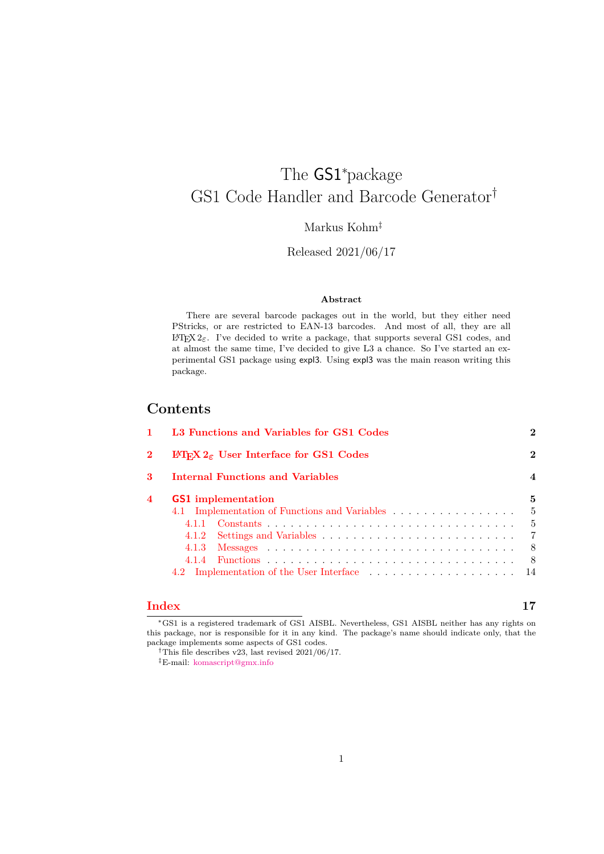# The GS1<sup>∗</sup>package GS1 Code Handler and Barcode Generator†

Markus Kohm‡

Released 2021/06/17

### **Abstract**

There are several barcode packages out in the world, but they either need PStricks, or are restricted to EAN-13 barcodes. And most of all, they are all L<sup>AT</sup>EX 2<sub>ε</sub>. I've decided to write a package, that supports several GS1 codes, and at almost the same time, I've decided to give L3 a chance. So I've started an experimental GS1 package using expl3. Using expl3 was the main reason writing this package.

# **Contents**

| L3 Functions and Variables for GS1 Codes |                                                                                                    | $\mathbf{2}$   |  |
|------------------------------------------|----------------------------------------------------------------------------------------------------|----------------|--|
|                                          | I <sup>2</sup> F <sub>F</sub> X 2 <sub><math>\varepsilon</math></sub> User Interface for GS1 Codes |                |  |
| Internal Functions and Variables         |                                                                                                    |                |  |
|                                          | <b>GS1</b> implementation                                                                          | 5              |  |
|                                          | 4.1 Implementation of Functions and Variables                                                      | -5             |  |
|                                          |                                                                                                    | - 5            |  |
|                                          |                                                                                                    | $\overline{7}$ |  |
|                                          |                                                                                                    | - 8            |  |
|                                          |                                                                                                    | - 8            |  |
|                                          |                                                                                                    |                |  |

# **[Index](#page-16-0) 17**

<sup>∗</sup>GS1 is a registered trademark of GS1 AISBL. Nevertheless, GS1 AISBL neither has any rights on this package, nor is responsible for it in any kind. The package's name should indicate only, that the package implements some aspects of GS1 codes.

<sup>&</sup>lt;sup>†</sup>This file describes v23, last revised  $2021/06/17$ .

<sup>‡</sup>E-mail: [komascript@gmx.info](mailto:komascript@gmx.info)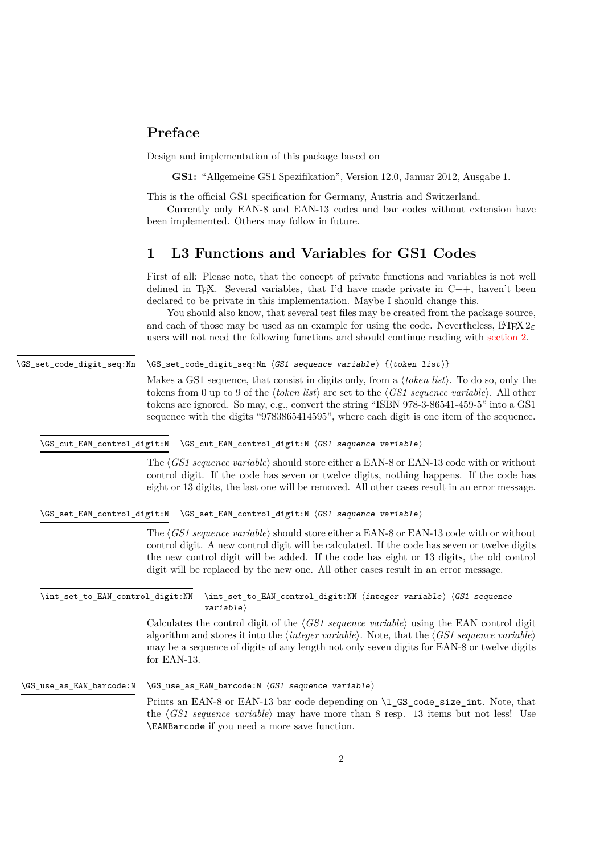# <span id="page-1-6"></span>**Preface**

Design and implementation of this package based on

**GS1:** "Allgemeine GS1 Spezifikation", Version 12.0, Januar 2012, Ausgabe 1.

This is the official GS1 specification for Germany, Austria and Switzerland.

Currently only EAN-8 and EAN-13 codes and bar codes without extension have been implemented. Others may follow in future.

# <span id="page-1-0"></span>**1 L3 Functions and Variables for GS1 Codes**

First of all: Please note, that the concept of private functions and variables is not well defined in T<sub>E</sub>X. Several variables, that I'd have made private in  $C_{++}$ , haven't been declared to be private in this implementation. Maybe I should change this.

You should also know, that several test files may be created from the package source, and each of those may be used as an example for using the code. Nevertheless,  $\text{LATEX } 2\varepsilon$ users will not need the following functions and should continue reading with [section 2.](#page-2-0)

<span id="page-1-1"></span>\GS\_set\_code\_digit\_seq:Nn ⟨GS1 sequence variable⟩ {⟨token list⟩} \GS\_set\_code\_digit\_seq:Nn

> Makes a GS1 sequence, that consist in digits only, from a ⟨*token list*⟩. To do so, only the tokens from 0 up to 9 of the ⟨*token list*⟩ are set to the ⟨*GS1 sequence variable*⟩. All other tokens are ignored. So may, e.g., convert the string "ISBN 978-3-86541-459-5" into a GS1 sequence with the digits "9783865414595", where each digit is one item of the sequence.

<span id="page-1-2"></span>\GS\_cut\_EAN\_control\_digit:N \GS\_cut\_EAN\_control\_digit:N ⟨GS1 sequence variable⟩

The ⟨*GS1 sequence variable*⟩ should store either a EAN-8 or EAN-13 code with or without control digit. If the code has seven or twelve digits, nothing happens. If the code has eight or 13 digits, the last one will be removed. All other cases result in an error message.

<span id="page-1-4"></span>\GS\_set\_EAN\_control\_digit:N \GS\_set\_EAN\_control\_digit:N ⟨GS1 sequence variable⟩

The ⟨*GS1 sequence variable*⟩ should store either a EAN-8 or EAN-13 code with or without control digit. A new control digit will be calculated. If the code has seven or twelve digits the new control digit will be added. If the code has eight or 13 digits, the old control digit will be replaced by the new one. All other cases result in an error message.

<span id="page-1-3"></span>\int\_set\_to\_EAN\_control\_digit:NN ⟨integer variable⟩ ⟨GS1 sequence variable⟩ \int\_set\_to\_EAN\_control\_digit:NN

> Calculates the control digit of the ⟨*GS1 sequence variable*⟩ using the EAN control digit algorithm and stores it into the ⟨*integer variable*⟩. Note, that the ⟨*GS1 sequence variable*⟩ may be a sequence of digits of any length not only seven digits for EAN-8 or twelve digits for EAN-13.

<span id="page-1-5"></span>\GS\_use\_as\_EAN\_barcode:N ⟨GS1 sequence variable⟩ \GS\_use\_as\_EAN\_barcode:N

> Prints an EAN-8 or EAN-13 bar code depending on \1 GS code size int. Note, that the ⟨*GS1 sequence variable*⟩ may have more than 8 resp. 13 items but not less! Use \EANBarcode if you need a more save function.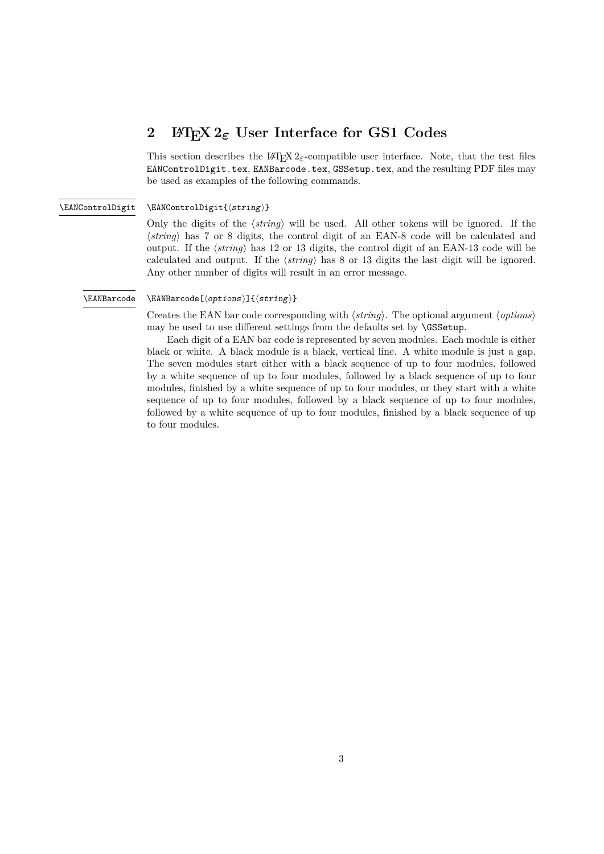# <span id="page-2-3"></span><span id="page-2-0"></span>**2 LATEX 2***ε* **User Interface for GS1 Codes**

This section describes the LAT<sub>E</sub>X 2<sub> $\epsilon$ </sub>-compatible user interface. Note, that the test files EANControlDigit.tex, EANBarcode.tex, GSSetup.tex, and the resulting PDF files may be used as examples of the following commands.

#### <span id="page-2-1"></span>\EANControlDigit{⟨string⟩} \EANControlDigit

Only the digits of the ⟨*string*⟩ will be used. All other tokens will be ignored. If the ⟨*string*⟩ has 7 or 8 digits, the control digit of an EAN-8 code will be calculated and output. If the ⟨*string*⟩ has 12 or 13 digits, the control digit of an EAN-13 code will be calculated and output. If the ⟨*string*⟩ has 8 or 13 digits the last digit will be ignored. Any other number of digits will result in an error message.

### <span id="page-2-2"></span>\EANBarcode

### \EANBarcode[⟨options⟩]{⟨string⟩}

Creates the EAN bar code corresponding with ⟨*string*⟩. The optional argument ⟨*options*⟩ may be used to use different settings from the defaults set by \GSSetup.

Each digit of a EAN bar code is represented by seven modules. Each module is either black or white. A black module is a black, vertical line. A white module is just a gap. The seven modules start either with a black sequence of up to four modules, followed by a white sequence of up to four modules, followed by a black sequence of up to four modules, finished by a white sequence of up to four modules, or they start with a white sequence of up to four modules, followed by a black sequence of up to four modules, followed by a white sequence of up to four modules, finished by a black sequence of up to four modules.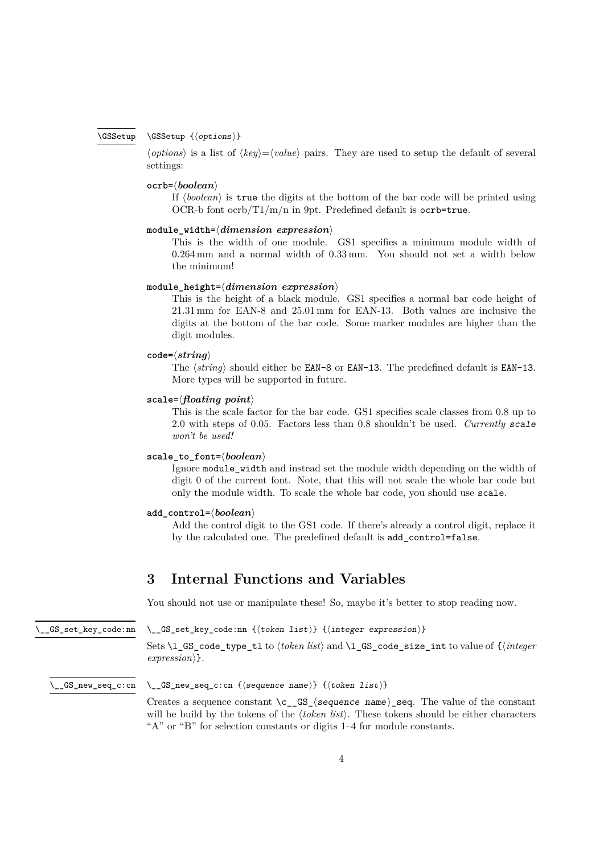#### <span id="page-3-3"></span>\GSSetup {⟨options⟩} \GSSetup

<span id="page-3-4"></span>⟨*options*⟩ is a list of ⟨*key*⟩=⟨*value*⟩ pairs. They are used to setup the default of several settings:

# **ocrb=**⟨*boolean*⟩

If ⟨*boolean*⟩ is true the digits at the bottom of the bar code will be printed using OCR-b font ocrb/ $T1/m/n$  in 9pt. Predefined default is ocrb=true.

### **module\_width=**⟨*dimension expression*⟩

This is the width of one module. GS1 specifies a minimum module width of 0.264 mm and a normal width of 0.33 mm. You should not set a width below the minimum!

# **module\_height=**⟨*dimension expression*⟩

This is the height of a black module. GS1 specifies a normal bar code height of 21.31 mm for EAN-8 and 25.01 mm for EAN-13. Both values are inclusive the digits at the bottom of the bar code. Some marker modules are higher than the digit modules.

# **code=**⟨*string*⟩

The  $\langle string \rangle$  should either be EAN-8 or EAN-13. The predefined default is EAN-13. More types will be supported in future.

### **scale=**⟨*floating point*⟩

This is the scale factor for the bar code. GS1 specifies scale classes from 0.8 up to 2.0 with steps of 0.05. Factors less than 0.8 shouldn't be used. *Currently* scale *won't be used!*

# **scale\_to\_font=**⟨*boolean*⟩

Ignore module\_width and instead set the module width depending on the width of digit 0 of the current font. Note, that this will not scale the whole bar code but only the module width. To scale the whole bar code, you should use scale.

### **add\_control=**⟨*boolean*⟩

Add the control digit to the GS1 code. If there's already a control digit, replace it by the calculated one. The predefined default is add\_control=false.

# <span id="page-3-0"></span>**3 Internal Functions and Variables**

You should not use or manipulate these! So, maybe it's better to stop reading now.

<span id="page-3-2"></span>\\_\_GS\_set\_key\_code:nn

\\_\_GS\_set\_key\_code:nn {⟨token list⟩} {⟨integer expression⟩}

Sets \l\_GS\_code\_type\_tl to ⟨*token list*⟩ and \l\_GS\_code\_size\_int to value of {⟨*integer expression*⟩}.

#### <span id="page-3-1"></span>\\_\_GS\_new\_seq\_c:cn {⟨sequence name⟩} {⟨token list⟩}  $\_\text{GS\_new\_seq\_c:cn}$

Creates a sequence constant  $\csc S_{\text{sequence name}}$  name  $\csc S_{\text{sequence } \text{name}}$ . The value of the constant will be build by the tokens of the *(token list)*. These tokens should be either characters "A" or "B" for selection constants or digits 1–4 for module constants.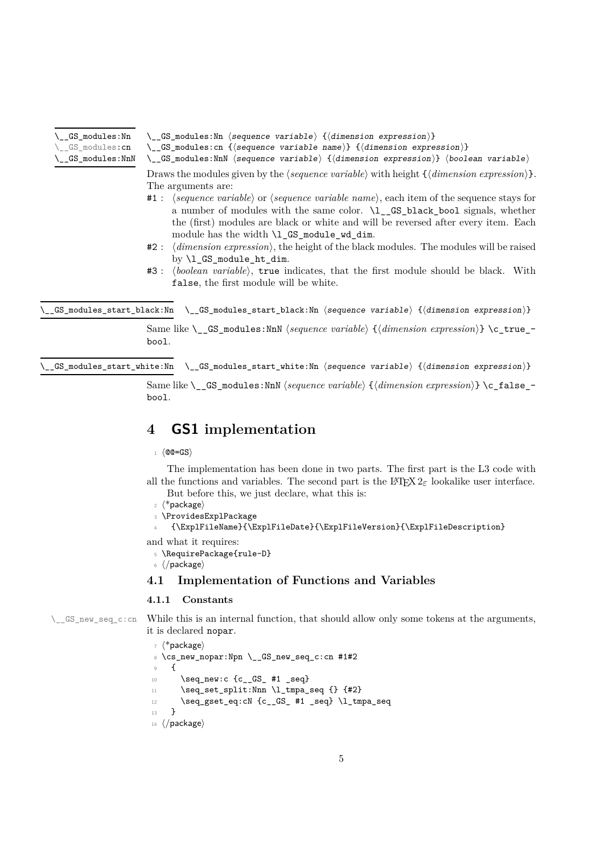- <span id="page-4-3"></span>\\_\_GS\_modules:Nn
- GS\_modules:cn
- <span id="page-4-6"></span>\\_\_GS\_modules:Nn ⟨sequence variable⟩ {⟨dimension expression⟩}
- \\_\_GS\_modules:cn {⟨sequence variable name⟩} {⟨dimension expression⟩} \\_\_GS\_modules:NnN

\\_\_GS\_modules:NnN ⟨sequence variable⟩ {⟨dimension expression⟩} ⟨boolean variable⟩ Draws the modules given by the  $\langle \text{sequence variable} \rangle$  with height  $\{\langle \text{dimension expression} \rangle\}$ . The arguments are:

- #1 : ⟨*sequence variable*⟩ or ⟨*sequence variable name*⟩, each item of the sequence stays for a number of modules with the same color. \l\_\_GS\_black\_bool signals, whether the (first) modules are black or white and will be reversed after every item. Each module has the width  $\lceil \log_{\text{model}} \rceil$  module\_wd\_dim.
- #2 : ⟨*dimension expression*⟩, the height of the black modules. The modules will be raised by \l\_GS\_module\_ht\_dim.
- #3 : ⟨*boolean variable*⟩, true indicates, that the first module should be black. With false, the first module will be white.

<span id="page-4-4"></span>\\_\_GS\_modules\_start\_black:Nn \\_\_GS\_modules\_start\_black:Nn ⟨sequence variable⟩ {⟨dimension expression⟩}

Same like \\_\_GS\_modules:NnN ⟨*sequence variable*⟩ {⟨*dimension expression*⟩} \c\_true\_ bool.

<span id="page-4-5"></span> $\text{GS}_\text{modules}$  start\_white:Nn \  $\text{GS}_\text{modules}$  start\_white:Nn  $\langle\text{sequence variable}\rangle$  { $\langle\text{dimension expression}\rangle\}$ 

Same like \\_\_GS\_modules:NnN ⟨*sequence variable*⟩ {⟨*dimension expression*⟩} \c\_false\_ bool.

# <span id="page-4-0"></span>**4 GS1 implementation**

<sup>1</sup> ⟨@@=GS⟩

The implementation has been done in two parts. The first part is the L3 code with all the functions and variables. The second part is the  $\text{LFT}_R X_{2\epsilon}$  lookalike user interface. But before this, we just declare, what this is:

- <sup>2</sup> ⟨\*package⟩
- <span id="page-4-10"></span><sup>3</sup> \ProvidesExplPackage

```
4 {\ExplFileName}{\ExplFileDate}{\ExplFileVersion}{\ExplFileDescription}
```
and what it requires:

- <span id="page-4-11"></span><sup>5</sup> \RequirePackage{rule-D}
- <sup>6</sup> ⟨*/*package⟩

# <span id="page-4-1"></span>**4.1 Implementation of Functions and Variables**

# <span id="page-4-9"></span><span id="page-4-2"></span>**4.1.1 Constants**

 $\_{\_GS\_new\_seq\_c:cn}$  While this is an internal function, that should allow only some tokens at the arguments, it is declared nopar.

```
7 ⟨*package⟩
8 \cs_new_nopar:Npn \__GS_new_seq_c:cn #1#2
9 {
10 \seq_new:c {c__GS_ #1 _seq}
11 \seq_set_split:Nnn \l_tmpa_seq {} {#2}
12 \text{seq\_gset\_eq:cN } {c\_GS\_ #1\_seq} \ \lceil \frac{1}{tmpa\_seq}13 \quad \frac{1}{2}14 ⟨/package⟩
```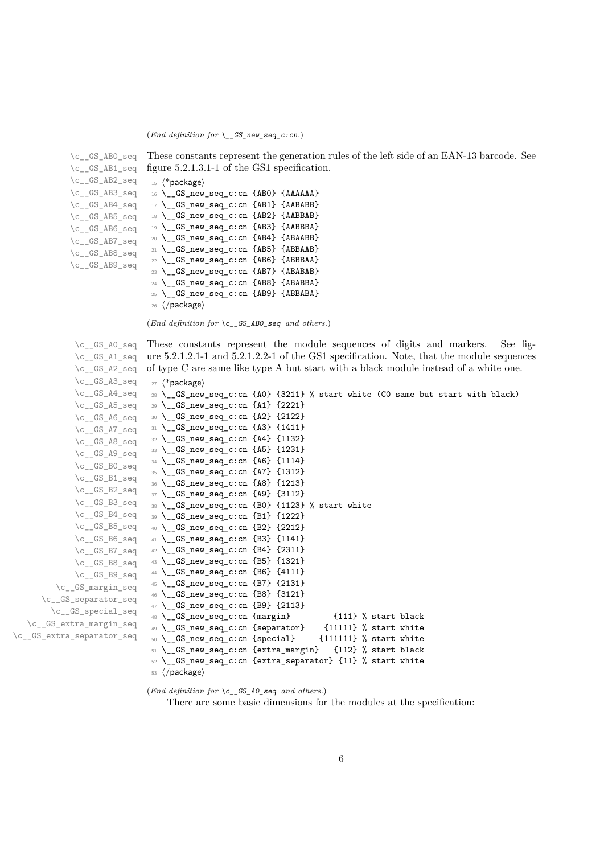\c\_\_GS\_AB0\_seq

```
\c__GS_AB1_seq
            \c__GS_AB2_seq
            \c__GS_AB3_seq
            \c__GS_AB4_seq
            \c__GS_AB5_seq
            \c__GS_AB6_seq
            \c__GS_AB7_seq
            \c__GS_AB8_seq
            \c__GS_AB9_seq
                             figure 5.2.1.3.1-1 of the GS1 specification.
                              15 ⟨*package⟩
                              16 \__GS_new_seq_c:cn {AB0} {AAAAAA}
                              17 \__GS_new_seq_c:cn {AB1} {AABABB}
                              18 \__GS_new_seq_c:cn {AB2} {AABBAB}
                              19 \__GS_new_seq_c:cn {AB3} {AABBBA}
                              20 \__GS_new_seq_c:cn {AB4} {ABAABB}
                              21 \__GS_new_seq_c:cn {AB5} {ABBAAB}
                              22 \__GS_new_seq_c:cn {AB6} {ABBBAA}
                              23 \__GS_new_seq_c:cn {AB7} {ABABAB}
                              24 \__GS_new_seq_c:cn {AB8} {ABABBA}
                              25 \__GS_new_seq_c:cn {AB9} {ABBABA}
                              26 ⟨/package⟩
                             (End definition for \c__GS_AB0_seq and others.)
             \c__GS_A0_seq
             \c__GS_A1_seq
             \c__GS_A2_seq
             \c__GS_A3_seq
             \c_{\texttt{-GS_A4-seq}}\c__GS_A5_seq
             \c__GS_A6_seq
             \c_GS_A7_seq
             \c__GS_A8_seq
             \c__GS_A9_seq
             \c__GS_B0_seq
             \c__GS_B1_seq
             \c__GS_B2_seq
             \c__GS_B3_seq
             \c__GS_B4_seq
             \c__GS_B5_seq
             \c__GS_B6_seq
             \c__GS_B7_seq
             \c__GS_B8_seq
             \c__GS_B9_seq
         \c__GS_margin_seq
      \c__GS_separator_seq
        \c__GS_special_seq
   \c__GS_extra_margin_seq
\c__GS_extra_separator_seq
                             These constants represent the module sequences of digits and markers. See fig-
                             ure 5.2.1.2.1-1 and 5.2.1.2.2-1 of the GS1 specification. Note, that the module sequences
                             of type C are same like type A but start with a black module instead of a white one.
                              27 ⟨*package⟩
                              28 \__GS_new_seq_c:cn {A0} {3211} % start white (C0 same but start with black)
                              29 \__GS_new_seq_c:cn {A1} {2221}
                              30 \__GS_new_seq_c:cn {A2} {2122}
                              31 \__GS_new_seq_c:cn {A3} {1411}
                              32 \__GS_new_seq_c:cn {A4} {1132}
                              33 \__GS_new_seq_c:cn {A5} {1231}
                              34 \__GS_new_seq_c:cn {A6} {1114}
                              35 \__GS_new_seq_c:cn {A7} {1312}
                              36 \__GS_new_seq_c:cn {A8} {1213}
                              37 \__GS_new_seq_c:cn {A9} {3112}
                              38 \__GS_new_seq_c:cn {B0} {1123} % start white
                              39 \__GS_new_seq_c:cn {B1} {1222}
                              40 \__GS_new_seq_c:cn {B2} {2212}
                              41 \__GS_new_seq_c:cn {B3} {1141}
                              42 \__GS_new_seq_c:cn {B4} {2311}
                              43 \__GS_new_seq_c:cn {B5} {1321}
                              44 \__GS_new_seq_c:cn {B6} {4111}
                              45 \__GS_new_seq_c:cn {B7} {2131}
                              46 \__GS_new_seq_c:cn {B8} {3121}
                              47 \__GS_new_seq_c:cn {B9} {2113}
                              48 \setminus GS_new_seq_c:cn {margin} {111} % start black
                              49 \__GS_new_seq_c:cn {separator} {11111} % start white
                              50 \__GS_new_seq_c:cn {special} {111111} % start white
                              51 \__GS_new_seq_c:cn {extra_margin} {112} % start black
                              52 \text{ } \setminus _GS_new_seq_c:cn {extra_separator} {11} % start white
```
<span id="page-5-13"></span><span id="page-5-12"></span><span id="page-5-11"></span><span id="page-5-10"></span><span id="page-5-9"></span><span id="page-5-8"></span><span id="page-5-7"></span><span id="page-5-6"></span><span id="page-5-5"></span><span id="page-5-4"></span><span id="page-5-3"></span><span id="page-5-2"></span><span id="page-5-1"></span><span id="page-5-0"></span>These constants represent the generation rules of the left side of an EAN-13 barcode. See

<span id="page-5-36"></span><span id="page-5-35"></span><span id="page-5-34"></span><span id="page-5-33"></span><span id="page-5-32"></span><span id="page-5-31"></span><span id="page-5-30"></span><span id="page-5-29"></span><span id="page-5-28"></span><span id="page-5-27"></span><span id="page-5-26"></span><span id="page-5-25"></span><span id="page-5-24"></span><span id="page-5-23"></span><span id="page-5-22"></span><span id="page-5-21"></span><span id="page-5-20"></span><span id="page-5-19"></span><span id="page-5-18"></span><span id="page-5-17"></span><span id="page-5-16"></span><span id="page-5-15"></span><span id="page-5-14"></span><sup>53</sup> ⟨*/*package⟩

(*End definition for* \c\_\_GS\_A0\_seq *and others.*) There are some basic dimensions for the modules at the specification: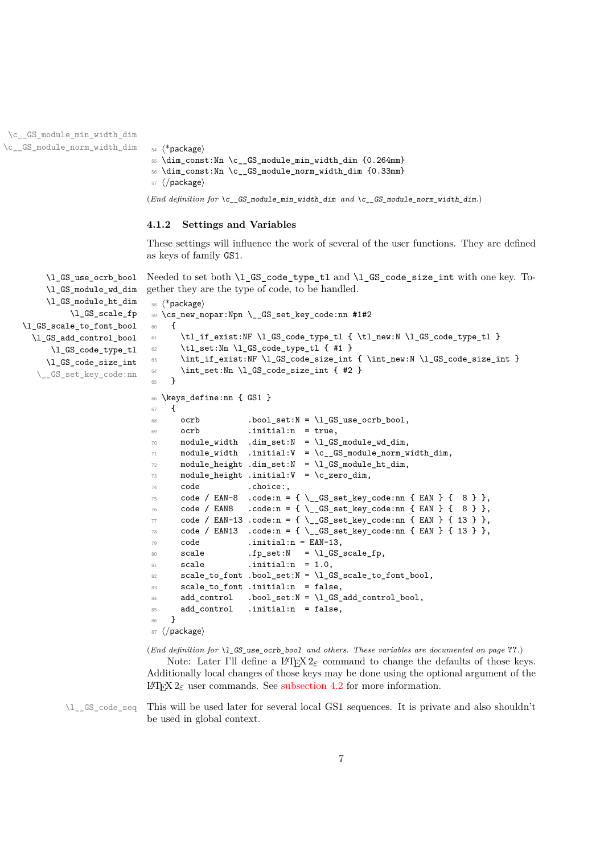```
\c__GS_module_min_width_dim
\c__GS_module_norm_width_dim 54 ⟨*package⟩
```

```
55 \dim_const:Nn \c__GS_module_min_width_dim {0.264mm}
```

```
56 \dim_const:Nn \c__GS_module_norm_width_dim {0.33mm}
```

```
57 ⟨/package⟩
```

```
(End definition for \c__GS_module_min_width_dim and \c__GS_module_norm_width_dim.)
```
# <span id="page-6-0"></span>**4.1.2 Settings and Variables**

<span id="page-6-5"></span>These settings will influence the work of several of the user functions. They are defined as keys of family GS1.

\l\_GS\_use\_ocrb\_bool Needed to set both \l\_GS\_code\_type\_tl and \l\_GS\_code\_size\_int with one key. Together they are the type of code, to be handled.

```
\l_GS_module_wd_dim
     \l_GS_module_ht_dim
          \l_GS_scale_fp
\l_GS_scale_to_font_bool
  \l_GS_add_control_bool
      \l_GS_code_type_tl
     \l_GS_code_size_int
   \__GS_set_key_code:nn
                            58 ⟨*package⟩
                            60 {
```

```
59 \cs_new_nopar:Npn \__GS_set_key_code:nn #1#2
61 \tl_if_exist:NF \l_GS_code_type_tl { \tl_new:N \l_GS_code_type_tl }
\verb|62| \qquad \verb|\tl_set|: \verb|\Nn \l, \lrcorner GS_code_type_t1 \{ #1 }|63 \int_if_exist:NF \l_GS_code_size_int { \int_new:N \l_GS_code_size_int }
\text{64} \int_set:Nn \l_GS_code_size_int { #2 }
65 }
66 \keys_define:nn { GS1 }
67 \frac{1}{2}68 ocrb .bool_set:N = \l_GS_use_ocrb_bool,
69 ocrb .initial:n = true,
70 module_width .dim_set:N = \l_GS_module_wd_dim,
71 module_width .initial:V = \c__GS_module_norm_width_dim,
72 module height .dim set:N = \l GS module ht dim,
73 module_height .initial:V = \c_zero_dim,
74 code .choice:,
75 code / EAN-8 .code:n = { \__GS_set_key_code:nn { EAN } { 8 } },
76 code / EAN8 .code:n = { \__GS_set_key_code:nn { EAN } { 8 } },
77 code / EAN-13 .code:n = { \__GS_set_key_code:nn { EAN } { 13 } },
78 code / EAN13 .code:n = { \__GS_set_key_code:nn { EAN } { 13 } },
79 code .initial:n = EAN-13,
80 scale .fp_set:N = \l_GS_scale_fp,
81 scale .initial:n = 1.0,
82 scale_to_font .bool_set:N = \l_GS_scale_to_font_bool,
83 scale_to_font .initial:n = false,
84 add_control .bool_set:N = \lceil \frac{GS}{d} \rceil add_control_bool,
85 add_control .initial:n = false,
86 }
87 ⟨/package⟩
```
<span id="page-6-13"></span><span id="page-6-12"></span><span id="page-6-11"></span><span id="page-6-10"></span>(*End definition for* \l\_GS\_use\_ocrb\_bool *and others. These variables are documented on page* **??***.*)

<span id="page-6-7"></span>Note: Later I'll define a L<sup>AT</sup>EX 2<sub> $\varepsilon$ </sub> command to change the defaults of those keys. Additionally local changes of those keys may be done using the optional argument of the LATEX 2*ε* user commands. See [subsection 4.2](#page-13-0) for more information.

\l\_\_GS\_code\_seq This will be used later for several local GS1 sequences. It is private and also shouldn't be used in global context.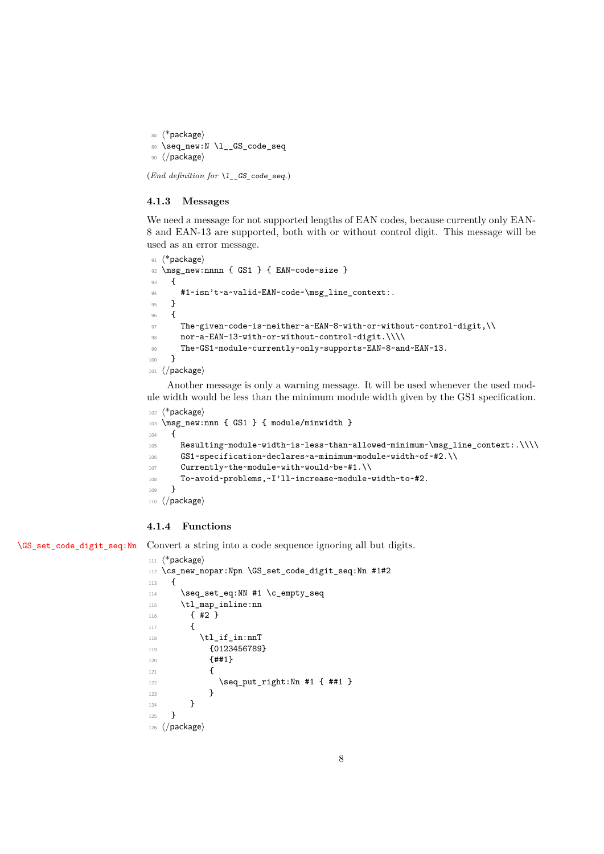<span id="page-7-13"></span>88  $\langle$ \*package $\rangle$ 89 \seq\_new:N \l\_\_GS\_code\_seq <sup>90</sup> ⟨*/*package⟩

(*End definition for* \l\_\_GS\_code\_seq*.*)

### <span id="page-7-0"></span>**4.1.3 Messages**

We need a message for not supported lengths of EAN codes, because currently only EAN-8 and EAN-13 are supported, both with or without control digit. This message will be used as an error message.

```
91 ⟨*package⟩
92 \msg_new:nnnn { GS1 } { EAN-code-size }
93 {
94 #1~isn't~a~valid~EAN~code~\msg_line_context:.
95 }
96 {
97 The~given~code~is~neither~a~EAN-8~with~or~without~control~digit,\\
98 nor~a~EAN-13~with~or~without~control~digit.\\\\
99 The~GS1~module~currently~only~supports~EAN-8~and~EAN~13.
100 }
101 ⟨/package⟩
```
<span id="page-7-3"></span><span id="page-7-2"></span>Another message is only a warning message. It will be used whenever the used module width would be less than the minimum module width given by the GS1 specification.

```
102 ⟨*package⟩
103 \msg_new:nnn { GS1 } { module/minwidth }
104 \frac{1}{104}105 Resulting~module~width~is~less~than~allowed~minimum~\msg_line_context:.\\\\
106 GS1~specification~declares~a~minimum~module~width~of~#2.\\
107 Currently~the~module~with~would~be~#1.\\
108 To~avoid~problems,~I'll~increase~module~width~to~#2.
109 }
110 ⟨/package⟩
```
# <span id="page-7-1"></span>**4.1.4 Functions**

[\GS\\_set\\_code\\_digit\\_seq:Nn](#page-1-1) Convert a string into a code sequence ignoring all but digits.

```
111 ⟨*package⟩
112 \cs_new_nopar:Npn \GS_set_code_digit_seq:Nn #1#2
113 \, \text{f}114 \seq_set_eq:NN #1 \c_empty_seq
115 \tl_map_inline:nn
116 { #2 }
117 \sim f
118 \tl_if_in:nnT
119 {0123456789}
120 {##1}
121 \left\{ \begin{array}{ccc} 1 & 1 & 1 \\ 1 & 1 & 1 \end{array} \right\}122 \seq_put_right:Nn #1 { ##1 }
123 }
124 }
125 }
126 ⟨/package⟩
```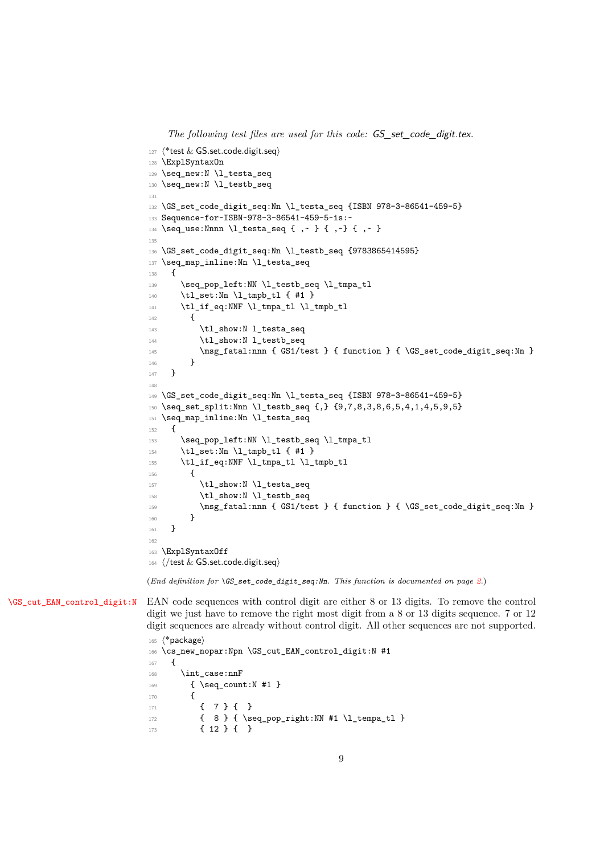*The following test files are used for this code:* GS\_set\_code\_digit.tex*.*

```
127 ⟨*test & GS.set.code.digit.seq⟩
128 \ExplSyntaxOn
129 \seq_new:N \l_testa_seq
130 \seq_new:N \l_testb_seq
131
132 \GS_set_code_digit_seq:Nn \l_testa_seq {ISBN 978-3-86541-459-5}
133 Sequence~for~ISBN~978-3-86541-459-5~is:~
134 \seq_use:Nnnn \l_testa_seq { , ~ } { , ~ } { , ~ }
135
136 \GS_set_code_digit_seq:Nn \l_testb_seq {9783865414595}
137 \seq_map_inline:Nn \l_testa_seq
138 {
139 \seq_pop_left:NN \l_testb_seq \l_tmpa_tl
140 \tl_set:Nn \l_tmpb_tl { #1 }
141 \tl_if_eq:NNF \l_tmpa_tl \l_tmpb_tl
142 f
143 \tl_show:N l_testa_seq
144 \tl_show:N l_testb_seq
145 \msg_fatal:nnn { GS1/test } { function } { \GS_set_code_digit_seq:Nn }
146 }
147 }
148
149 \GS set code digit seq:Nn \l testa seq {ISBN 978-3-86541-459-5}
150 \seq_set_split:Nnn \l_testb_seq \{, \} \{9,7,8,3,8,6,5,4,1,4,5,9,5\}151 \seq_map_inline:Nn \l_testa_seq
152 \frac{152}{152}153 \seq_pop_left:NN \l_testb_seq \l_tmpa_tl
154 \tl_set:Nn \l_tmpb_tl { #1 }
155 \tl_if_eq:NNF \l_tmpa_tl \l_tmpb_tl
156 {
157 \tl_show:N \l_testa_seq
158 \tl show:N \l testb seq
159 \msg_fatal:nnn { GS1/test } { function } { \GS set code digit seq:Nn }
160 }
161 }
162
163 \ExplSyntaxOff
164 ⟨/test & GS.set.code.digit.seq⟩
(End definition for \GS_set_code_digit_seq:Nn. This function is documented on page 2.)
```
[\GS\\_cut\\_EAN\\_control\\_digit:N](#page-1-2) EAN code sequences with control digit are either 8 or 13 digits. To remove the control digit we just have to remove the right most digit from a 8 or 13 digits sequence. 7 or 12 digit sequences are already without control digit. All other sequences are not supported.

```
165 ⟨*package⟩
166 \cs_new_nopar:Npn \GS_cut_EAN_control_digit:N #1
167 {
168 \int_case:nnF
169 { \seq_count:N #1 }
170 \, \rm{f}171 { 7 } { }
172 { 8 } { \seq_pop_right:NN #1 \l_tempa_tl }
173 \{12\} \{1
```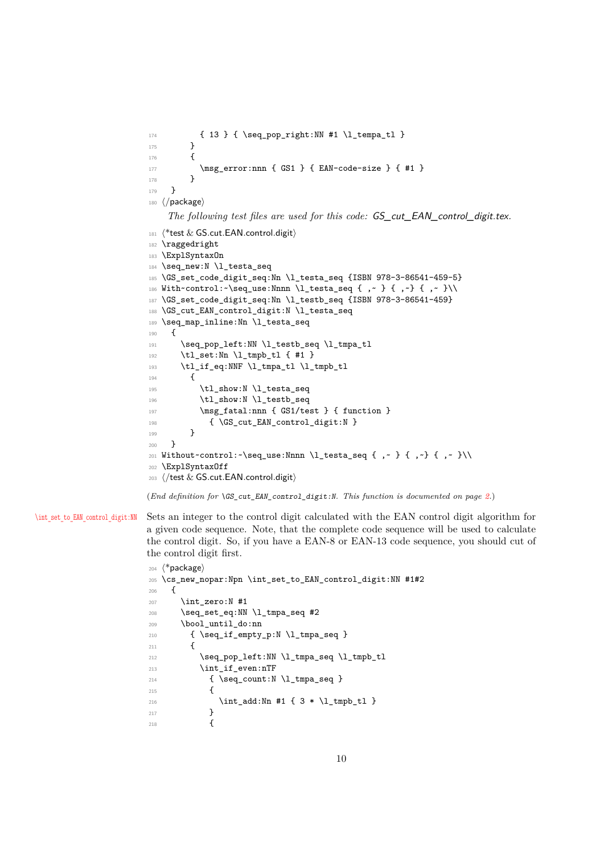```
174 { 13 } { \seq_pop_right:NN #1 \l_tempa_tl }
175 }
176 {
177 \msg_error:nnn { GS1 } { EAN-code-size } { #1 }
178 }
179 }
180 ⟨/package⟩
    The following test files are used for this code: GS_cut_EAN_control_digit.tex.
181 ⟨*test & GS.cut.EAN.control.digit⟩
182 \raggedright
183 \ExplSyntaxOn
184 \seq_new:N \l_testa_seq
185 \GS_set_code_digit_seq:Nn \l_testa_seq {ISBN 978-3-86541-459-5}
186 With~control:~\seq_use:Nnnn \l_testa_seq { ,~ } { ,~} { ,~ }\\
187 \GS_set_code_digit_seq:Nn \l_testb_seq {ISBN 978-3-86541-459}
188 \GS_cut_EAN_control_digit:N \l_testa_seq
189 \seq_map_inline:Nn \l_testa_seq
190 {
191 \seq_pop_left:NN \l_testb_seq \l_tmpa_tl
192 \tl_set:Nn \l_tmpb_tl { #1 }
193 \tl_if_eq:NNF \l_tmpa_tl \l_tmpb_tl
194 \uparrow195 \tl_show:N \l_testa_seq
196 \tl_show:N \l_testb_seq
197 \msg_fatal:nnn { GS1/test } { function }
198 { \GS_cut_EAN_control_digit:N }
199 ]
200 }
201 Without~control:~\seq_use:Nnnn \l_testa_seq { ,~ } { ,~} { ,~ }\\
202 \ExplSyntaxOff
203 ⟨/test & GS.cut.EAN.control.digit⟩
```
<span id="page-9-27"></span><span id="page-9-26"></span><span id="page-9-25"></span><span id="page-9-24"></span><span id="page-9-19"></span><span id="page-9-17"></span><span id="page-9-13"></span><span id="page-9-10"></span><span id="page-9-4"></span><span id="page-9-1"></span>(*End definition for* \GS\_cut\_EAN\_control\_digit:N*. This function is documented on page [2.](#page-1-2)*)

\int\_set to\_EAN\_control\_digit:NN Sets an integer to the control digit calculated with the EAN control digit algorithm for a given code sequence. Note, that the complete code sequence will be used to calculate the control digit. So, if you have a EAN-8 or EAN-13 code sequence, you should cut of the control digit first.

```
204 ⟨*package⟩
205 \cs_new_nopar:Npn \int_set_to_EAN_control_digit:NN #1#2
206 {
207 \int zero:N #1
208 \seq_set_eq:NN \l_tmpa_seq #2
209 \bool_until_do:nn
210 { \seq_if_empty_p:N \l_tmpa_seq }
211 \left\{ \begin{array}{ccc} 2 & 2 & 1 \\ 2 & 2 & 1 \end{array} \right\}212 \seq_pop_left:NN \l_tmpa_seq \l_tmpb_tl
213 \int_if_even:nTF
214 { \seq_count:N \l_tmpa_seq }
215 \left\{ \begin{array}{c} \end{array} \right\}216 \int_add:Nn #1 { 3 * \l_tmpb_tl }
217 }
218 {
```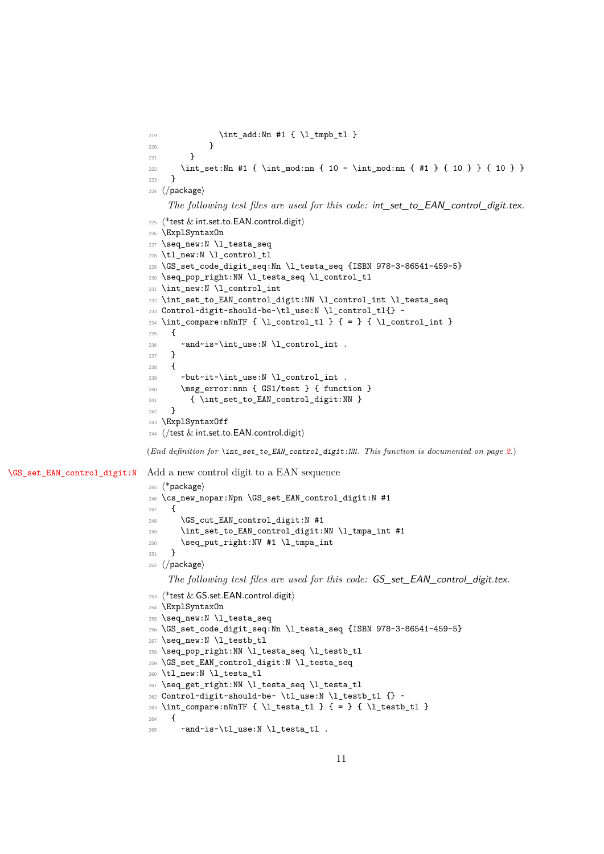```
219 \int_add:Nn #1 { \l_tmpb_tl }
                               220 }
                              221 }
                              222 \int_set:Nn #1 { \int_mod:nn { 10 - \int \mathrm{mod:nn} { #1 } { 10 } } { 10 } }
                              223 }
                              224 ⟨/package⟩
                                   The following test files are used for this code: int_set_to_EAN_control_digit.tex.
                              225 ⟨*test & int.set.to.EAN.control.digit⟩
                              226 \ExplSyntaxOn
                              227 \seq_new:N \l_testa_seq
                              228 \tl_new:N \l_control_tl
                              229 \GS_set_code_digit_seq:Nn \l_testa_seq {ISBN 978-3-86541-459-5}
                              230 \seq_pop_right:NN \l_testa_seq \l_control_tl
                              231 \int_new:N \l_control_int
                              232 \int_set_to_EAN_control_digit:NN \l_control_int \l_testa_seq
                              233 Control~digit~should~be~\tl_use:N \l_control_tl{} ~
                              234 \int_compare:nNnTF { \l_control_tl } { = } { \l_control_int }
                              235 {
                              236 ~and~is~\int_use:N \l_control_int .
                              237 }
                              238 {
                              239 ~but~it~\int_use:N \l_control_int .
                              240 \msg_error:nnn { GS1/test } { function }
                              241 { \int_set_to_EAN_control_digit:NN }
                              242 }
                              243 \ExplSyntaxOff
                              244 ⟨/test & int.set.to.EAN.control.digit⟩
                              (End definition for \int_set_to_EAN_control_digit:NN. This function is documented on page 2.)
\GS_set_EAN_control_digit:N Add a new control digit to a EAN sequence
                              245 ⟨*package⟩
                              246 \cs_new_nopar:Npn \GS_set_EAN_control_digit:N #1
                              247 {
                              248 \GS_cut_EAN_control_digit:N #1
                              249 \int_set_to_EAN_control_digit:NN \l_tmpa_int #1
                              250 \seq_put_right:NV #1 \l_tmpa_int
                              251252 ⟨/package⟩
                                   The following test files are used for this code: GS_set_EAN_control_digit.tex.
                              253 ⟨*test & GS.set.EAN.control.digit⟩
                              254 \ExplSyntaxOn
                              255 \seq new:N \l testa seq
                              256 \GS set code digit seq:Nn \l testa seq {ISBN 978-3-86541-459-5}
                              257 \seq_new:N \l_testb_tl
                              258 \seq_pop_right:NN \l_testa_seq \l_testb_tl
                              259 \GS_set_EAN_control_digit:N \l_testa_seq
                              260 \tl_new:N \l_testa_tl
                              261 \seq_get_right:NN \l_testa_seq \l_testa_tl
                              262 Control~digit~should~be~ \tl_use:N \l_testb_tl {} ~
                              263 \int_compare:nNnTF { \l_testa_tl } { = } { \l_testb_tl }
                              264 \frac{1}{2}265 ~ ~ \alphand~is~\tl use:N \l testa tl .
```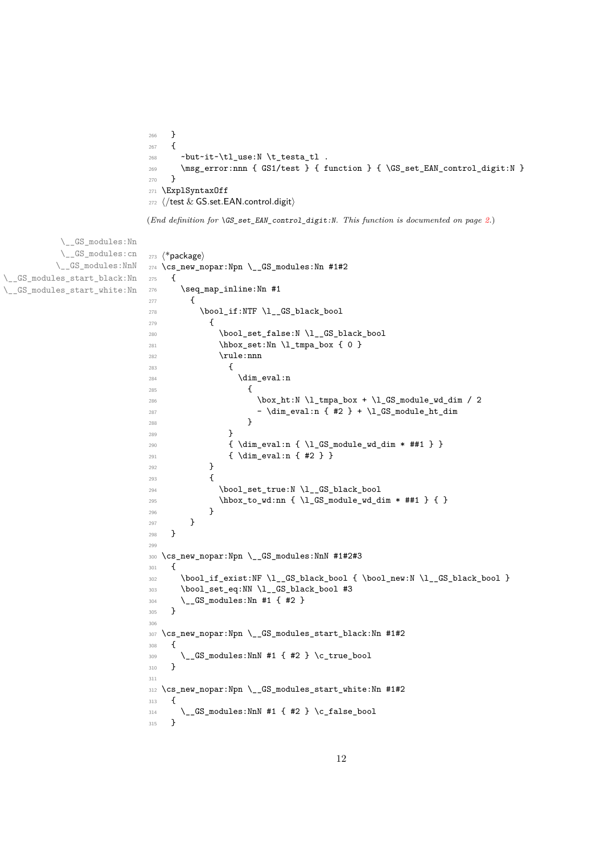```
266 }
267 \{268 ~but~it~\tl use:N \t testa tl.
269 \msg_error:nnn { GS1/test } { function } { \GS_set_EAN_control_digit:N }
270 }
271 \ExplSyntaxOff
272 ⟨/test & GS.set.EAN.control.digit⟩
```
<span id="page-11-22"></span><span id="page-11-21"></span><span id="page-11-19"></span><span id="page-11-18"></span><span id="page-11-17"></span><span id="page-11-16"></span><span id="page-11-15"></span><span id="page-11-14"></span><span id="page-11-13"></span><span id="page-11-12"></span><span id="page-11-11"></span><span id="page-11-10"></span><span id="page-11-9"></span><span id="page-11-8"></span><span id="page-11-7"></span><span id="page-11-6"></span><span id="page-11-5"></span><span id="page-11-4"></span><span id="page-11-3"></span><span id="page-11-2"></span><span id="page-11-1"></span><span id="page-11-0"></span>(*End definition for* \GS\_set\_EAN\_control\_digit:N*. This function is documented on page [2.](#page-1-4)*)

```
\__GS_modules:Nn
           \__GS_modules:cn
          \__GS_modules:NnN
\__GS_modules_start_black:Nn
\__GS_modules_start_white:Nn
                            273 ⟨*package⟩
                            274 \cs_new_nopar:Npn \__GS_modules:Nn #1#2
                            275 \{276 \seq_map_inline:Nn #1
                            277 \uparrow278 \bool_if:NTF \l__GS_black_bool
                            279 \qquad \qquad \textbf{1}280 \bool_set_false:N \l__GS_black_bool
                            281 \hbar \hbox_set:Nn \l_tmpa_box { 0 }
                            282 \rule:nnn
                            283 \qquad \qquad \textbf{1}284 \ddot{\text{dim}} eval:n
                            285 \qquad \qquad \text{ }286 \box_ht:N \l_tmpa_box + \l_GS_module_wd_dim / 2
                            \verb|287| - \dim_eval:n { #2 } + \lceil \lg\mod\leq \dim_dim288 }
                            289 }
                            290 \{ \dim_eval: n \{ \l\_GS_module_wd\ dim * ##1 \} \}291 <br> \{ \dim\_eval:n \{ #2 \} \}292 }
                            293 {
                            294 \bool_set_true:N \l__GS_black_bool
                            \verb|\box_to_wd:nn { \l_GS_module_wd_dim * ##1 } { }296 }
                            297 }
                            298 }
                            200300 \cs_new_nopar:Npn \__GS_modules:NnN #1#2#3
                            301 \frac{f}{f}302 \bool_if_exist:NF \l__GS_black_bool { \bool_new:N \l__GS_black_bool }
                            303 \bool_set_eq:NN \l__GS_black_bool #3
                            304 \__GS_modules:Nn #1 { #2 }
                            305 }
                            306
                            307 \cs_new_nopar:Npn \__GS_modules_start_black:Nn #1#2
                            308 {
                            309 \__GS_modules:NnN #1 { #2 } \c_true_bool
                            310 }
                            311
                            312 \cs_new_nopar:Npn \__GS_modules_start_white:Nn #1#2
                            313 \frac{1}{2}314 \__GS_modules:NnN #1 { #2 } \c_false_bool
                            315 }
```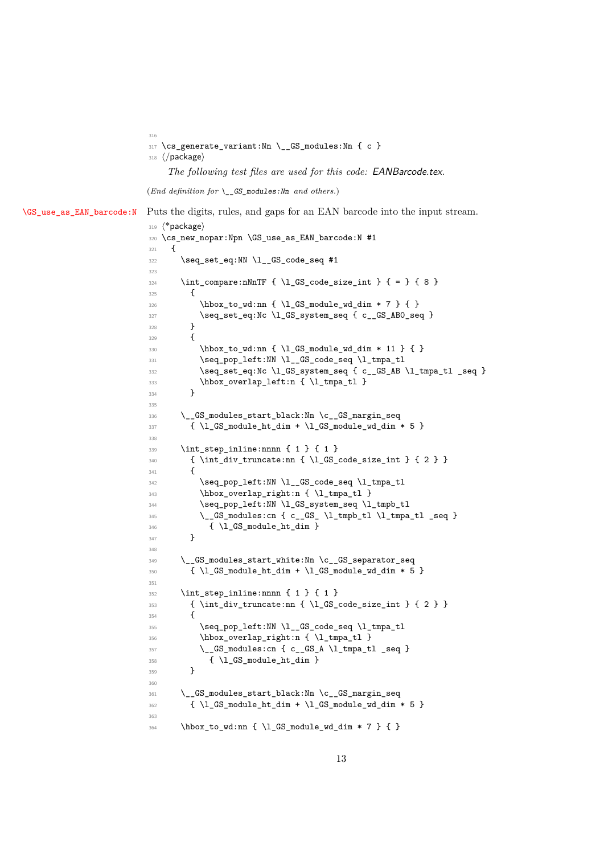<span id="page-12-0"></span>317 \cs\_generate\_variant:Nn \\_\_GS\_modules:Nn { c }

⟨*/*package⟩

*The following test files are used for this code:* EANBarcode.tex*.*

(*End definition for* \\_\_GS\_modules:Nn *and others.*)

[\GS\\_use\\_as\\_EAN\\_barcode:N](#page-1-5) Puts the digits, rules, and gaps for an EAN barcode into the input stream.

```
319 ⟨*package⟩
320 \cs_new_nopar:Npn \GS_use_as_EAN_barcode:N #1
321 \frac{1}{2}322 \seq_set_eq:NN \l__GS_code_seq #1
323
324 \int_compare:nNnTF { \1_GS_code_size_int } { = } { 8 }
325 {
326 \hbox_to_wd:nn { \l_GS_module_wd_dim * 7 } { }
327 \seq_set_eq:Nc \l_GS_system_seq { c__GS_AB0_seq }
328 }
329 {
\verb|330| \thox_to_wd:nn {\l_GS_module_wd_dim * 11 } { }_{{\tt 331}} \verb|\seq.pop-left:NN \l}_GS\_code\_seq \l}_tmp\_t1332 \seq_set_eq:Nc \l_GS_system_seq { c__GS_AB \l_tmpa_tl _seq }
333 \hbox_overlap_left:n { \l_tmpa_tl }
334 }
335
336 \__GS_modules_start_black:Nn \c__GS_margin_seq
337 { \l_GS_module_ht_dim + \l_GS_module_wd_dim * 5 }
338
339 \int_3 \int_step_inline:nnnn { 1 } { 1 }
340 { \int_div_truncate:nn { \l_GS_code_size_int } { 2 } }
341 \uparrow342 \seq_pop_left:NN \l__GS_code_seq \l_tmpa_tl
343 \hbox_overlap_right:n { \l_tmpa_tl }
344 \seq_pop_left:NN \l_GS_system_seq \l_tmpb_tl
\L_GS\_modules:cn { c__GS_ \l_tmpb_tl \l_tmpa_tl _seq }
346 { \l_GS_module_ht_dim }
347 }
348
349 \__GS_modules_start_white:Nn \c__GS_separator_seq
350 { \l_GS_module_ht_dim + \l_GS_module_wd_dim * 5 }
351
352 \int_step_inline:nnnn { 1 } { 1 }
353 { \int_div_truncate:nn { \1_GS_code_size_int } { 2 } }
354 {
355 \seq_pop_left:NN \l__GS_code_seq \l_tmpa_tl
356 \hbox_overlap_right:n { \l_tmpa_tl }
\sum_{357} \qquad \qquad \sum_{s} GS_modules:cn { c__GS_A \l_tmpa_tl _seq }
358 \{ \lceil \log_{\text{model}} \rfloor + \lceil \log_{\text{model}} \rfloor \}359 }
360
361 \__GS_modules_start_black:Nn \c__GS_margin_seq
362 { \l_GS_module_ht_dim + \l_GS_module_wd_dim * 5 }
363
364 \hbox_to_wd:nn { \l_GS_module_wd_dim * 7 } { }
```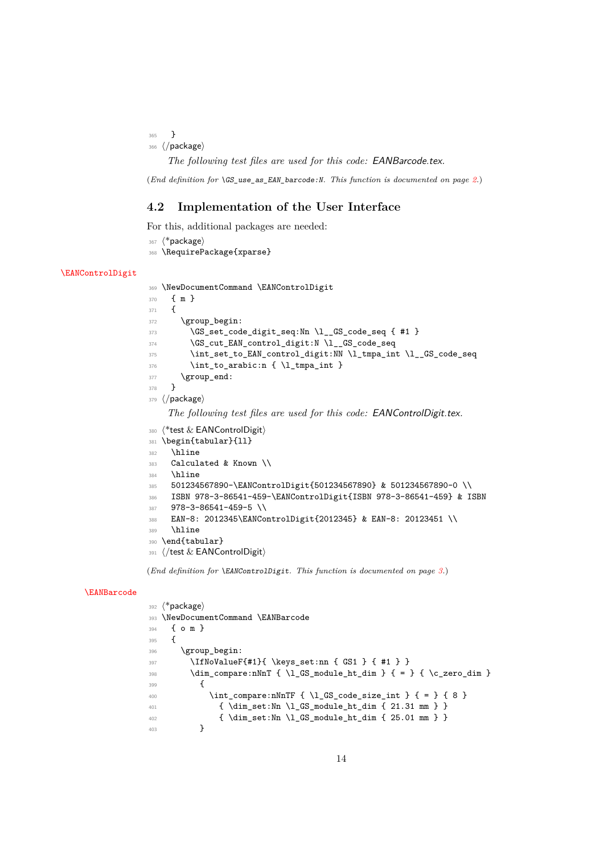<sup>365</sup> } <sup>366</sup> ⟨*/*package⟩

*The following test files are used for this code:* EANBarcode.tex*.*

(*End definition for* \GS\_use\_as\_EAN\_barcode:N*. This function is documented on page [2.](#page-1-5)*)

# <span id="page-13-0"></span>**4.2 Implementation of the User Interface**

For this, additional packages are needed:

```
367 ⟨*package⟩
368 \RequirePackage{xparse}
```
### [\EANControlDigit](#page-2-1)

```
369 \NewDocumentCommand \EANControlDigit
370 { m }
371 {
372 \group_begin:
373 \GS_set_code_digit_seq:Nn \l__GS_code_seq { #1 }
374 \GS_cut_EAN_control_digit:N \l__GS_code_seq
375 \int_set_to_EAN_control_digit:NN \l_tmpa_int \l__GS_code_seq
376 \int_to_arabic:n {\l\1_tmpa_int }377 \group_end:
378 }
379 ⟨/package⟩
```
<span id="page-13-23"></span><span id="page-13-18"></span><span id="page-13-14"></span>*The following test files are used for this code:* EANControlDigit.tex*.*

```
380 (*test & EANControlDigit)
```

```
381 \begin{tabular}{11}
```

```
382 \hline
```

```
383 Calculated & Known \\
```

```
384 \hline
```

```
385 501234567890-\EANControlDigit{501234567890} & 501234567890-0 \\
```

```
386 ISBN 978-3-86541-459-\EANControlDigit{ISBN 978-3-86541-459} & ISBN
```

```
387 978-3-86541-459-5 \\
```

```
388 EAN-8: 2012345\EANControlDigit{2012345} & EAN-8: 20123451 \\
```

```
389 \hline
```

```
390 \end{tabular}
```
<sup>391</sup> ⟨*/*test & EANControlDigit⟩

(*End definition for* \EANControlDigit*. This function is documented on page [3.](#page-2-1)*)

# [\EANBarcode](#page-2-2)

```
392 ⟨*package⟩
393 \NewDocumentCommand \EANBarcode
394 { o m }
395 {
396 \group_begin:
397 \IfNoValueF{#1}{ \keys_set:nn { GS1 } { #1 } }
398 \dim_{\text{compare:}nNnT} {\l_1_GS_{module\_ht\_dim} {\l_ = }\n} {\l_zero\_dim}399 \sim400 \int_{\infty} \int_compare:nNnTF { \l_GS_code_size_int } { = } { 8 }
_{401} { \dim_set:Nn \l_GS_module_ht_dim { 21.31 mm } }
402 { \dim_set:Nn \l_GS_module_ht_dim { 25.01 mm } }
403 }
```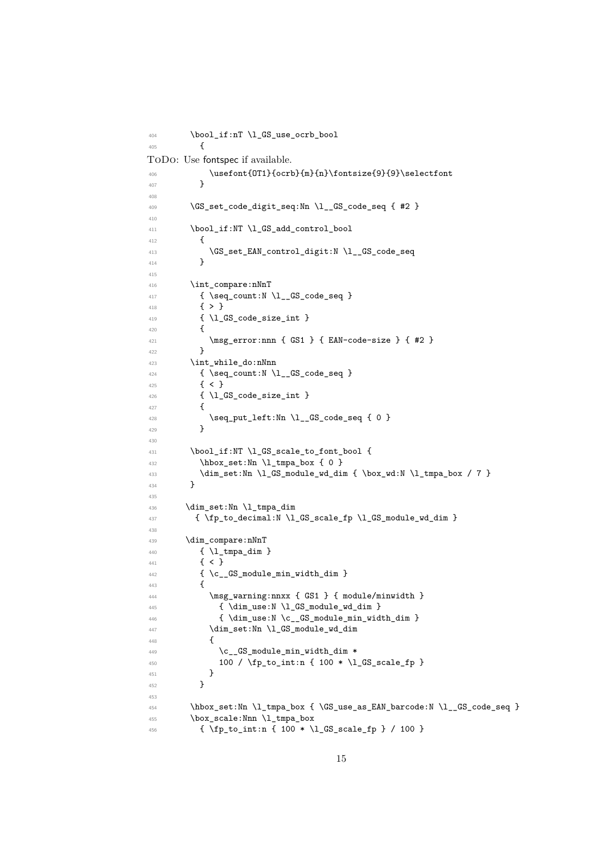```
404 \bool_if:nT \l_GS_use_ocrb_bool
405 {
ToDo: Use fontspec if available.
\text{Out{OT1}\{ocrb\{m\{n\} \} }selectfont<br>407
407 }
408
409 \sqrt{GS\_set\_code\_digit\_seq: Nn \setminus l\_GS\_code\_seq} { #2 }
410
411 \bool_if:NT \l_GS_add_control_bool
412 f
413 \GS_set_EAN_control_digit:N \l__GS_code_seq
414 }
415
416 \int compare:nNnT
417 { \seq_count:N \l__GS_code_seq }
418 { > }
419 { \lceil \cdot \cdot \rceil { \lceil \cdot \cdot \rceil code_size_int }
420 {
\begin{array}{ccc}\n & \text{ansg_error:nnn { GS1 } { EAN-code-size } { #2 }\n \end{array}422
423 \int while do:nNnn
424 { \seq_count:N \l__GS_code_seq }
425 { < }
426 { \1 GS code size int }
427 {
428 \text{seq.put\_left:} \nightharpoonup \lbrack \cdot \rbrack \lbrack \cdot \rbrack429 }
430
\verb+\431+\verb+\bool-if:NT \lrcorner GS_scale_to_font\_bool {}432 \hbox_set:Nn \l_tmpa_box { 0 }
\dim_set:Nn \l_GS_module_wd_dim { \box_wd:N \l_tmpa_box / 7 }
434 }
435
436 \dim set:Nn \l tmpa dim
437 { \fp to decimal:N \l GS scale fp \l GS module wd dim }
438
439 \dim_compare:nNnT
440 {l \ln \text{mapdim}}441 \{ \langle \}442 { \c__GS_module_min_width_dim }
443 {
444 \msg_warning:nnxx { GS1 } { module/minwidth }
445 { \dim_use:N \l_GS_module_wd_dim }
446 { \dim_use:N \c__GS_module_min_width_dim }
447 \dim_set:Nn \ l_GS_model = wd_dim448 f
\{c\_GS\_module\_min\_width\_dim \ *450 100 / \fp_{\to} 100 * \lceil \frac{450}{451} \rceil451 }
452 }
453
454 \hbox_set:Nn \l_tmpa_box { \GS_use_as_EAN_barcode:N \l__GS_code_seq }
455 \box scale:Nnn \l tmpa box
456 { \fp_to_int:n { 100 * \l_GS_scale_fp } / 100 }
```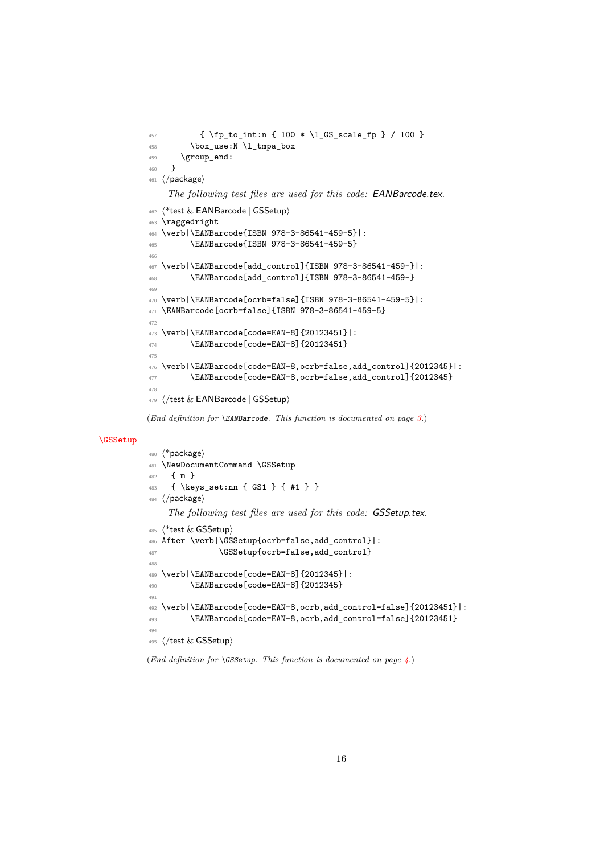```
457 { \fp_to_int:n { 100 * \l_GS_scale_fp } / 100 }
$\tt 458$ \box_use:N \l_tmpa_box
459 \group_end:
460 }
461 ⟨/package⟩
    The following test files are used for this code: EANBarcode.tex.
462 ⟨*test & EANBarcode | GSSetup⟩
463 \raggedright
464 \verb|\EANBarcode{ISBN 978-3-86541-459-5}|:
465 \EANBarcode{ISBN 978-3-86541-459-5}
466
467 \verb|\EANBarcode[add_control]{ISBN 978-3-86541-459-}|:
468 \EANBarcode[add_control]{ISBN 978-3-86541-459-}
469
470 \verb|\EANBarcode[ocrb=false]{ISBN 978-3-86541-459-5}|:
471 \EANBarcode[ocrb=false]{ISBN 978-3-86541-459-5}
472
473 \verb|\EANBarcode[code=EAN-8]{20123451}|:
474 \EANBarcode[code=EAN-8]{20123451}
475
476 \verb|\EANBarcode[code=EAN-8,ocrb=false,add_control]{2012345}|:
477 \EANBarcode[code=EAN-8,ocrb=false,add_control]{2012345}
478
479 ⟨/test & EANBarcode | GSSetup⟩
```
<span id="page-15-15"></span><span id="page-15-14"></span><span id="page-15-13"></span>(*End definition for* \EANBarcode*. This function is documented on page [3.](#page-2-2)*)

## [\GSSetup](#page-3-3)

```
480 ⟨*package⟩
481 \NewDocumentCommand \GSSetup
482 { m }
483 { \keys_set:nn { GS1 } { #1 } }
484 ⟨/package⟩
    The following test files are used for this code: GSSetup.tex.
485 ⟨*test & GSSetup⟩
486 After \verb|\GSSetup{ocrb=false,add_control}|:
487 \GSSetup{ocrb=false,add_control}
488
489 \verb|\EANBarcode[code=EAN-8]{2012345}|:
490 \EANBarcode[code=EAN-8]{2012345}
491
492 \verb|\EANBarcode[code=EAN-8,ocrb,add_control=false]{20123451}|:
493 \EANBarcode[code=EAN-8,ocrb,add_control=false]{20123451}
494
495 ⟨/test & GSSetup⟩
```
<span id="page-15-4"></span><span id="page-15-3"></span><span id="page-15-2"></span><span id="page-15-1"></span>(*End definition for* \GSSetup*. This function is documented on page [4.](#page-3-3)*)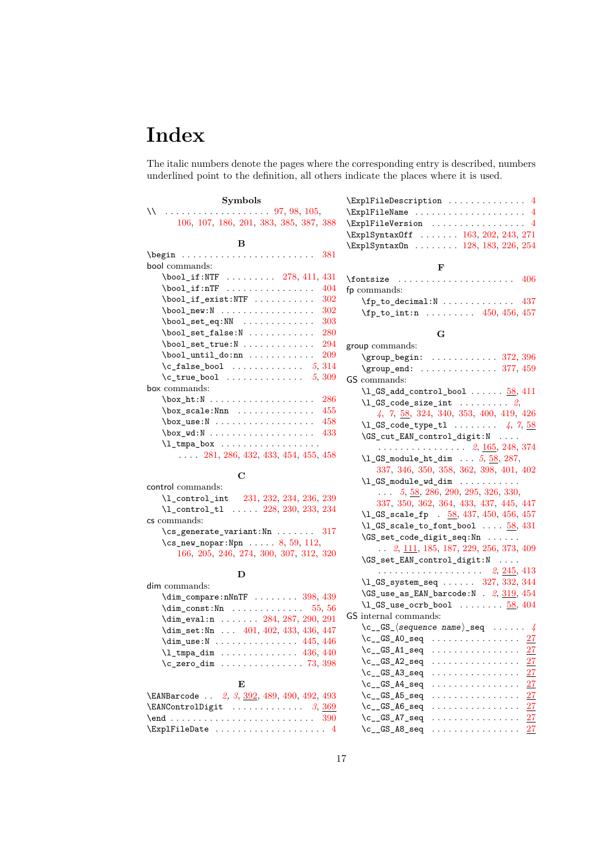# <span id="page-16-0"></span>**Index**

The italic numbers denote the pages where the corresponding entry is described, numbers underlined point to the definition, all others indicate the places where it is used.

# **Symbols** \\ . . . . . . . . . . . . . . . . . . . [97,](#page-7-2) [98,](#page-7-3) [105,](#page-7-4) [106,](#page-7-5) [107,](#page-7-6) [186,](#page-9-0) [201,](#page-9-1) [383,](#page-13-1) [385,](#page-13-2) [387,](#page-13-3) [388](#page-13-4) **B** \begin . . . . . . . . . . . . . . . . . . . . . . . . [381](#page-13-5) bool commands: \bool\_if:NTF ........ [278,](#page-11-0) [411,](#page-14-0) [431](#page-14-1)  $\boldsymbol{\lambda}$  . . . . . . . . . . . . . . . . [404](#page-14-2)  $\boldsymbol{\lambda}$  . . . . . . . . . . . . . . [302](#page-11-1)  $\boldsymbol{\lambda}$  . . . . . . . . . . . . . . . . . . [302](#page-11-1)  $\boldsymbol{\lambda}$ set\_eq:NN . . . . . . . . . . . . [303](#page-11-2)  $\boldsymbol{\lambda}$ set\_false:N . . . . . . . . . . . [280](#page-11-3) \bool\_set\_true:N . . . . . . . . . . . . [294](#page-11-4)  $\boldsymbol{\lambda}$  . . . . . . . . . . . . . . [209](#page-9-2) \c\_false\_bool . . . . . . . . . . . . . *[5](#page-4-6)*, [314](#page-11-5) \c\_true\_bool . . . . . . . . . . . . . . *[5](#page-4-6)*, [309](#page-11-6) box commands: \box\_ht:N . . . . . . . . . . . . . . . . . . . [286](#page-11-7)  $\label{eq:box_scale} $$\box_scale: Nnn \dots \dots \dots 455$  $\label{eq:box_scale} $$\box_scale: Nnn \dots \dots \dots 455$ \box\_use:N . . . . . . . . . . . . . . . . . [458](#page-15-0) \box\_wd:N . . . . . . . . . . . . . . . . . . . [433](#page-14-4)  $\lceil$  tmpa\_box  $\dots \dots \dots \dots \dots$ . . . . [281,](#page-11-8) [286,](#page-11-7) [432,](#page-14-5) [433,](#page-14-4) [454,](#page-14-6) [455,](#page-14-3) [458](#page-15-0)

### **C**

| control commands:                          |
|--------------------------------------------|
| 231, 232, 234, 236, 239<br>\1 control int  |
| \l_control_tl  228, 230, 233, 234          |
| cs commands:                               |
| $\csc$ generate variant: Nn  317           |
| $\cs{rs_new_nopar: Npn \dots 8, 59, 112,}$ |
| 166, 205, 246, 274, 300, 307, 312, 320     |

# **D**

| dim commands:                          |
|----------------------------------------|
| $\dim_{\text{compare}:nNnTF}$ 398, 439 |
| $\dim_{const}$ : Nn 55, 56             |
| $\dim_{eval:n}$ 284, 287, 290, 291     |
| \dim_set:Nn  401, 402, 433, 436, 447   |
| $\dim_$ use:N  445, 446                |
| $\lceil 1 \rceil$ tmpa dim  436, 440   |
| $c_{zero\_dim}$ 73, 398                |

## **E**

| \EANBarcode  2, 3, 392, 489, 490, 492, 493 |
|--------------------------------------------|
|                                            |
|                                            |
| $\texttt{\texttt{{}\%}\xspace}$            |

| $\text{ExplFileDescription}$ 4     |  |
|------------------------------------|--|
| $\Epsilon$ xplFileName  4          |  |
| $\text{ExplFileVersion}$ 4         |  |
| \ExplSyntax0ff  163, 202, 243, 271 |  |
| \ExplSyntax0n  128, 183, 226, 254  |  |
| F                                  |  |
| $\forall$ fontsize  406            |  |
| fp commands:                       |  |
| $\tp_{to\_decimal: N$ 437          |  |
| $\tp_{to\_int:n}$ 450, 456, 457    |  |

### **G**

| group commands:                                                                                                                                                                                                                                                                                                                                                                                                        |
|------------------------------------------------------------------------------------------------------------------------------------------------------------------------------------------------------------------------------------------------------------------------------------------------------------------------------------------------------------------------------------------------------------------------|
| $\qquad \qquad \text{group\_begin}: \ldots \ldots \ldots \quad 372,396$                                                                                                                                                                                                                                                                                                                                                |
| . 377, 459<br>\group end:                                                                                                                                                                                                                                                                                                                                                                                              |
| GS commands:                                                                                                                                                                                                                                                                                                                                                                                                           |
| $\lceil \frac{GS\_add\_control\_bool \ldots 58, 411} \rceil$                                                                                                                                                                                                                                                                                                                                                           |
| $\lvert \ldots \rvert$ GS_code_size_int  2,                                                                                                                                                                                                                                                                                                                                                                            |
| 4, 7, 58, 324, 340, 353, 400, 419, 426                                                                                                                                                                                                                                                                                                                                                                                 |
| $\lceil \frac{1 \cdot 1 \cdot 1}{1 \cdot 1 \cdot 1} \rceil$ 4, 7, 58                                                                                                                                                                                                                                                                                                                                                   |
| \GS_cut_EAN_control_digit:N                                                                                                                                                                                                                                                                                                                                                                                            |
| . 2, <u>165,</u> 248, 374                                                                                                                                                                                                                                                                                                                                                                                              |
| $\lceil \text{CS_model} \rceil$ 5, 58, 287,                                                                                                                                                                                                                                                                                                                                                                            |
| 337, 346, 350, 358, 362, 398, 401, 402                                                                                                                                                                                                                                                                                                                                                                                 |
| $\lceil \frac{GS_{module\_wd\_dim} \dots \dots \dots}{\rceil} \rceil$                                                                                                                                                                                                                                                                                                                                                  |
| $\ldots$ 5, 58, 286, 290, 295, 326, 330,                                                                                                                                                                                                                                                                                                                                                                               |
| 337, 350, 362, 364, 433, 437, 445, 447                                                                                                                                                                                                                                                                                                                                                                                 |
| \1_GS_scale_fp . 58, 437, 450, 456, 457                                                                                                                                                                                                                                                                                                                                                                                |
| $\lceil \frac{GS\_scale\_to\_font\_bool}{1.0.5.8.431} \rceil$                                                                                                                                                                                                                                                                                                                                                          |
| \GS_set_code_digit_seq:Nn                                                                                                                                                                                                                                                                                                                                                                                              |
| $\ldots$ 2, 111, 185, 187, 229, 256, 373, 409                                                                                                                                                                                                                                                                                                                                                                          |
| \GS_set_EAN_control_digit:N                                                                                                                                                                                                                                                                                                                                                                                            |
|                                                                                                                                                                                                                                                                                                                                                                                                                        |
| \1_GS_system_seq  327, 332, 344                                                                                                                                                                                                                                                                                                                                                                                        |
| $\Gamma$ . $\Gamma$ . $\Gamma$ . $\Gamma$ . $\Gamma$ . $\Gamma$ . $\Gamma$ . $\Gamma$ . $\Gamma$ . $\Gamma$ . $\Gamma$ . $\Gamma$ . $\Gamma$ . $\Gamma$ . $\Gamma$ . $\Gamma$ . $\Gamma$ . $\Gamma$ . $\Gamma$ . $\Gamma$ . $\Gamma$ . $\Gamma$ . $\Gamma$ . $\Gamma$ . $\Gamma$ . $\Gamma$ . $\Gamma$ . $\Gamma$ . $\Gamma$ . $\Gamma$ . $\Gamma$ . $\Gamma$ . $\Gamma$ . $\Gamma$ . $\Gamma$ . $\Gamma$ . $\Gamma$ . |
| $\lceil \text{CS\_use\_ocrb\_bool} \rceil$ $58,404$                                                                                                                                                                                                                                                                                                                                                                    |
| GS internal commands:                                                                                                                                                                                                                                                                                                                                                                                                  |
| $\c_{-}$ GS_ $\langle$ sequence name $\rangle$ _seq  4                                                                                                                                                                                                                                                                                                                                                                 |
|                                                                                                                                                                                                                                                                                                                                                                                                                        |
| $\c_{\texttt{-GS\_A1\_seq}}$<br>. <u>27</u>                                                                                                                                                                                                                                                                                                                                                                            |
| $\c\_GS_A2\_seq$ <u>27</u>                                                                                                                                                                                                                                                                                                                                                                                             |
|                                                                                                                                                                                                                                                                                                                                                                                                                        |
| $\c_{\texttt{c\_GS\_A4\_seq}}$ $27$                                                                                                                                                                                                                                                                                                                                                                                    |
| $\c_{-}$ GS_A5_seq  27                                                                                                                                                                                                                                                                                                                                                                                                 |
|                                                                                                                                                                                                                                                                                                                                                                                                                        |
| $\c_{\texttt{-GS}_A7\_seq}$<br>. <u>27</u>                                                                                                                                                                                                                                                                                                                                                                             |
| $\c_{\texttt{-GS}_\texttt{A8\_seq}}$<br>27<br>.                                                                                                                                                                                                                                                                                                                                                                        |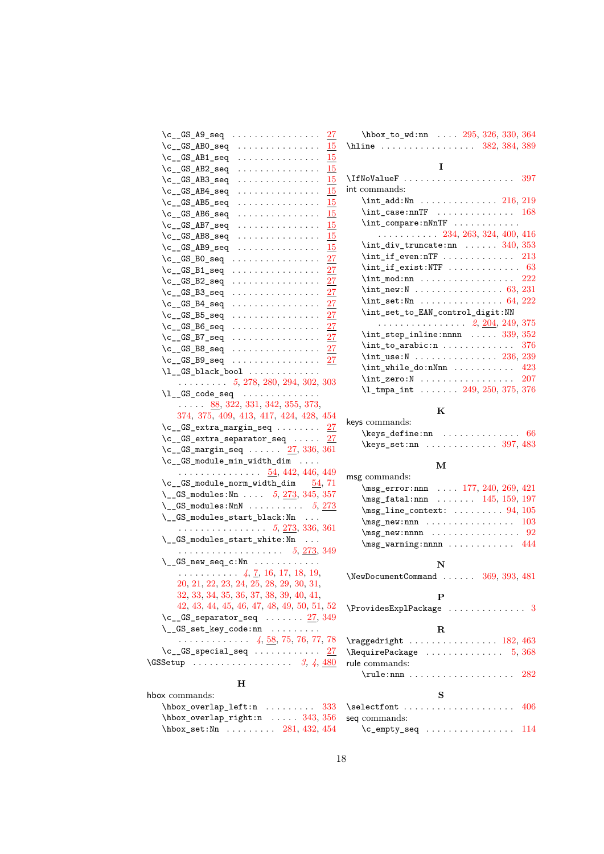| $\c_{s}$ $GS_A9$ seq<br>27                                                                                                                                                                                                                                                                                                                                                                                                                                                                                                                                                    | $\hbox{\hbox{hbox\_to_wd:nn}} \ldots 295, 326, 330, 364$                  |
|-------------------------------------------------------------------------------------------------------------------------------------------------------------------------------------------------------------------------------------------------------------------------------------------------------------------------------------------------------------------------------------------------------------------------------------------------------------------------------------------------------------------------------------------------------------------------------|---------------------------------------------------------------------------|
| $\c_{\texttt{-GS}$ _ABO_seq<br>15                                                                                                                                                                                                                                                                                                                                                                                                                                                                                                                                             | \hline $382, 384, 389$                                                    |
| \c__GS_AB1_seq<br>.<br>15                                                                                                                                                                                                                                                                                                                                                                                                                                                                                                                                                     |                                                                           |
| 15<br>\c__GS_AB2_seq<br>.                                                                                                                                                                                                                                                                                                                                                                                                                                                                                                                                                     | 1                                                                         |
| 15<br>$\c_{S_AB3-seq}$<br>.                                                                                                                                                                                                                                                                                                                                                                                                                                                                                                                                                   | \IfNoValueF<br>397                                                        |
| $\c_{-.}$ GS_AB4_seq<br>15<br>.                                                                                                                                                                                                                                                                                                                                                                                                                                                                                                                                               | int commands:                                                             |
| 15<br>$\c_{S_0}$ $\Delta$ $\beta$<br>.                                                                                                                                                                                                                                                                                                                                                                                                                                                                                                                                        | $\int_{add:Nn} \ldots \ldots \ldots \ldots 216, 219$                      |
| 15<br>$\c_{-.}$ GS_AB6_seq<br>.                                                                                                                                                                                                                                                                                                                                                                                                                                                                                                                                               | $\int \int \case: mTF$ 168                                                |
| 15<br>$\c_{-.}$ GS_AB7_seq<br>.                                                                                                                                                                                                                                                                                                                                                                                                                                                                                                                                               | $\int \int \text{compare: nNnTF}$                                         |
| 15<br>$\c_{s}$ $GS$ $AB8$ seq                                                                                                                                                                                                                                                                                                                                                                                                                                                                                                                                                 | $\ldots \ldots \ldots 234, 263, 324, 400, 416$                            |
| $\c_{s}$ $GS$ $AB9$ seq<br>15                                                                                                                                                                                                                                                                                                                                                                                                                                                                                                                                                 | $\int$ div_truncate:nn  340, 353                                          |
| 27                                                                                                                                                                                                                                                                                                                                                                                                                                                                                                                                                                            | $\int_i f_e v$ er.nTF  213                                                |
| 27                                                                                                                                                                                                                                                                                                                                                                                                                                                                                                                                                                            | $\int_i f_e xist \cdot NTF$ 63                                            |
| 27<br>$\c_{s}$ $GS_{B2}$ seq                                                                                                                                                                                                                                                                                                                                                                                                                                                                                                                                                  | $\int_{\text{mod}:nn$ 222                                                 |
| 27                                                                                                                                                                                                                                                                                                                                                                                                                                                                                                                                                                            | $\int_{new:N} \ldots \ldots \ldots \ldots \quad 63, 231$                  |
| $\c_{s}$ $GS_{B4}$ seq<br>27                                                                                                                                                                                                                                                                                                                                                                                                                                                                                                                                                  | $\int \text{set:Nn}    64, 222$                                           |
| 27                                                                                                                                                                                                                                                                                                                                                                                                                                                                                                                                                                            | \int_set_to_EAN_control_digit:NN                                          |
| $^{27}$                                                                                                                                                                                                                                                                                                                                                                                                                                                                                                                                                                       |                                                                           |
| 27                                                                                                                                                                                                                                                                                                                                                                                                                                                                                                                                                                            | $\int_5$ step_inline:nnnn  339, 352                                       |
| 27                                                                                                                                                                                                                                                                                                                                                                                                                                                                                                                                                                            | $\int_{to_a}^{t} r^2 \cdot \ldots \cdot \ldots \cdot 376$                 |
| 27<br>$\c_{s}$ $GS_{B9}$ seq                                                                                                                                                                                                                                                                                                                                                                                                                                                                                                                                                  | $\int_2$ use:N  236, 239                                                  |
| $\lceil \frac{GS_black}$ bool                                                                                                                                                                                                                                                                                                                                                                                                                                                                                                                                                 | $\int_w \phi \cdot n \, \dots \dots \dots \quad 423$                      |
| $\ldots \ldots \ldots 5, 278, 280, 294, 302, 303$                                                                                                                                                                                                                                                                                                                                                                                                                                                                                                                             | $\int_2 \text{ercsN}     207$                                             |
| $\lceil \frac{GS\cdot code\cdot seq \cdot \ldots \cdot \ldots \cdot \ldots \cdot \rceil}{\lceil \frac{GS\cdot code\cdot seq \cdot \ldots \cdot \ldots \cdot \rceil}{\lceil \frac{GSS\cdot code\cdot seq \cdot \ldots \cdot \rceil}{\lceil \frac{GSS\cdot code\cdot neg \cdot \ldots \cdot \rceil}{\lceil \frac{GSS\cdot code\cdot neg \cdot \ldots \cdot \rceil}{\lceil \frac{GSS\cdot code\cdot neg \cdot \ldots \cdot \rceil}{\lceil \frac{GSS\cdot code\cdot neg \cdot \ldots \cdot \rceil}{\lceil \frac{GSS\cdot code\cdot neg \cdot \ldots \cdot \rceil}{\lceil \frac{G$ |                                                                           |
| $\ldots$ 88, 322, 331, 342, 355, 373,                                                                                                                                                                                                                                                                                                                                                                                                                                                                                                                                         | Κ                                                                         |
| 374, 375, 409, 413, 417, 424, 428, 454                                                                                                                                                                                                                                                                                                                                                                                                                                                                                                                                        |                                                                           |
|                                                                                                                                                                                                                                                                                                                                                                                                                                                                                                                                                                               |                                                                           |
| $\c_{\texttt{-GS\_extra\_margin\_seq}} \dots \dots \frac{27}{27}$                                                                                                                                                                                                                                                                                                                                                                                                                                                                                                             | keys commands:                                                            |
| $\c_{-}$ GS_extra_separator_seq  27                                                                                                                                                                                                                                                                                                                                                                                                                                                                                                                                           |                                                                           |
| $\c_{\texttt{-GS_margin\_seq}} \dots \dots \frac{27}{336,361}$                                                                                                                                                                                                                                                                                                                                                                                                                                                                                                                | $\text{keys_set:nn} \dots \dots \dots \ 397, 483$                         |
| $\c_{s}$ $\Gamma$                                                                                                                                                                                                                                                                                                                                                                                                                                                                                                                                                             | м                                                                         |
| <u>54</u> , 442, 446, 449                                                                                                                                                                                                                                                                                                                                                                                                                                                                                                                                                     | msg commands:                                                             |
| $\c_{\texttt{-G}}$ GS_module_norm_width_dim $54, 71$                                                                                                                                                                                                                                                                                                                                                                                                                                                                                                                          | \msg_error:nnn  177, 240, 269, 421                                        |
| \__GS_modules:Nn $5, 273, 345, 357$                                                                                                                                                                                                                                                                                                                                                                                                                                                                                                                                           | $\text{msg\_fatal:nnn} \dots 145, 159, 197$                               |
| \__GS_modules:NnN $5, 273$                                                                                                                                                                                                                                                                                                                                                                                                                                                                                                                                                    | $\text{msg\_line\_context: } \ldots 94, 105$                              |
| $\_{\_GS\_{modules}\_start\_black: Nn$                                                                                                                                                                                                                                                                                                                                                                                                                                                                                                                                        | $\text{msg_new:nnn}$ 103                                                  |
| . 5, <u>273</u> , 336, 361                                                                                                                                                                                                                                                                                                                                                                                                                                                                                                                                                    | $\text{msg_new:nnnn}$ 92                                                  |
| $\_{\_GS\_modules\_start\_white:Nn$                                                                                                                                                                                                                                                                                                                                                                                                                                                                                                                                           | $\msg_{warming:nnnn$ 444                                                  |
|                                                                                                                                                                                                                                                                                                                                                                                                                                                                                                                                                                               |                                                                           |
| $\setminus _{\_G}GS\_new\_seq\_c:Nn$                                                                                                                                                                                                                                                                                                                                                                                                                                                                                                                                          | N                                                                         |
| $\ldots$ 4, 7, 16, 17, 18, 19,                                                                                                                                                                                                                                                                                                                                                                                                                                                                                                                                                | \NewDocumentCommand  369, 393, 481                                        |
| 20, 21, 22, 23, 24, 25, 28, 29, 30, 31,                                                                                                                                                                                                                                                                                                                                                                                                                                                                                                                                       |                                                                           |
| $32, 33, 34, 35, 36, 37, 38, 39, 40, 41,$                                                                                                                                                                                                                                                                                                                                                                                                                                                                                                                                     | P                                                                         |
| 42, 43, 44, 45, 46, 47, 48, 49, 50, 51, 52                                                                                                                                                                                                                                                                                                                                                                                                                                                                                                                                    | $\ProvidesExp1Package \dots \dots \dots \dots \ 3$                        |
| $\c$ __GS_separator_seq  27, 349                                                                                                                                                                                                                                                                                                                                                                                                                                                                                                                                              |                                                                           |
| $\_{g}$ GS_set_key_code:nn                                                                                                                                                                                                                                                                                                                                                                                                                                                                                                                                                    | R                                                                         |
| $\c\_GS\_special\_seq$ 27                                                                                                                                                                                                                                                                                                                                                                                                                                                                                                                                                     | $\text{Vraggedright}$ 182, 463                                            |
|                                                                                                                                                                                                                                                                                                                                                                                                                                                                                                                                                                               | $\lambda$ Require Package $\ldots \ldots \ldots 5, 368$<br>rule commands: |
| $\text{CSSetup} \dots \dots \dots \dots \dots \quad 3, 4, \underline{480}$                                                                                                                                                                                                                                                                                                                                                                                                                                                                                                    | 282                                                                       |
| н                                                                                                                                                                                                                                                                                                                                                                                                                                                                                                                                                                             |                                                                           |
| hbox commands:                                                                                                                                                                                                                                                                                                                                                                                                                                                                                                                                                                | s                                                                         |
| $\hbox{\tt hbox_overlap\_left:n}$ 333<br>$\hbox{\tt hbox_overlap\_right:n}$ 343, 356                                                                                                                                                                                                                                                                                                                                                                                                                                                                                          | $\setminus$ selectfont<br>406                                             |

| $\hbar$ box_overlap_right:n  343, 356 seq commands: |  |
|-----------------------------------------------------|--|
| $\hbar$ box_set:Nn  281, 432, 454 \c_empty_seq  114 |  |

18